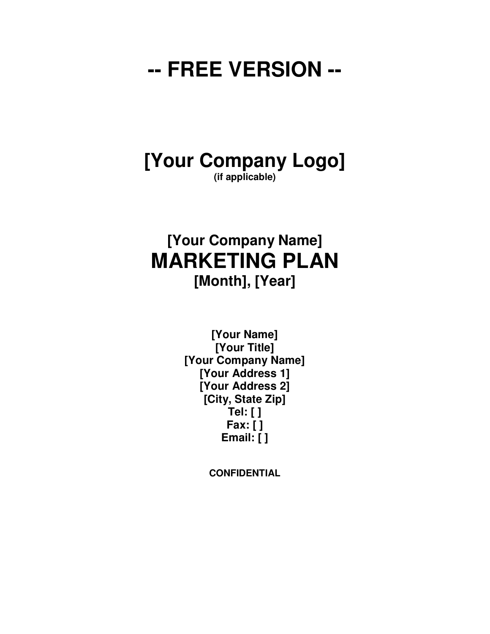## **-- FREE VERSION --**

#### **[Your Company Logo] (if applicable)**

## **[Your Company Name] MARKETING PLAN [Month], [Year]**

**[Your Name] [Your Title] [Your Company Name] [Your Address 1] [Your Address 2] [City, State Zip] Tel: [ ] Fax: [ ] Email: [ ]** 

**CONFIDENTIAL**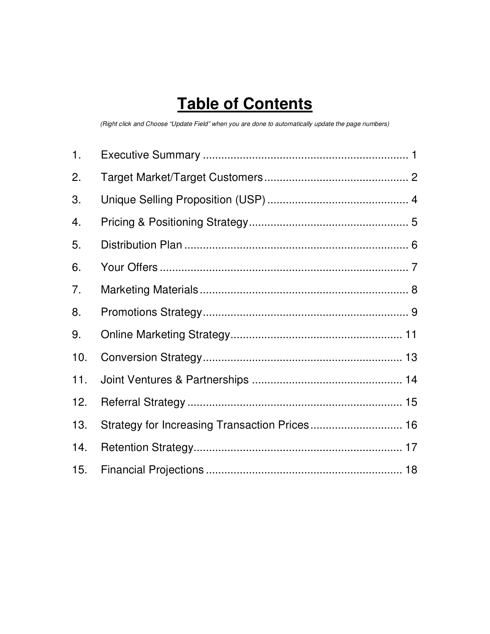## **Table of Contents**

(Right click and Choose "Update Field" when you are done to automatically update the page numbers)

| 1.  |                                               |  |
|-----|-----------------------------------------------|--|
| 2.  |                                               |  |
| 3.  |                                               |  |
| 4.  |                                               |  |
| 5.  |                                               |  |
| 6.  |                                               |  |
| 7.  |                                               |  |
| 8.  |                                               |  |
| 9.  |                                               |  |
| 10. |                                               |  |
| 11. |                                               |  |
| 12. |                                               |  |
| 13. | Strategy for Increasing Transaction Prices 16 |  |
| 14. |                                               |  |
| 15. |                                               |  |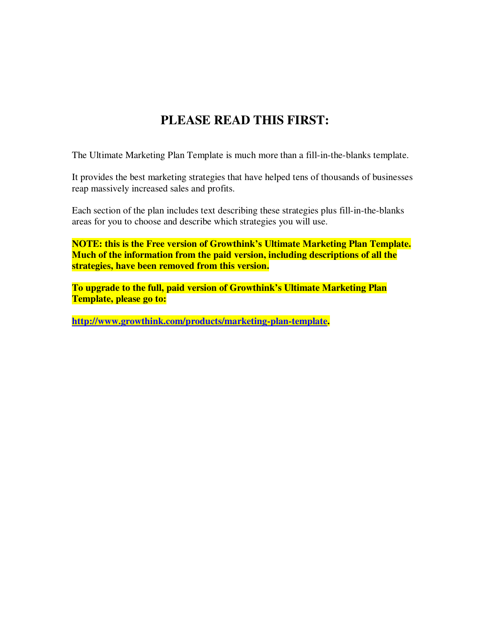#### **PLEASE READ THIS FIRST:**

The Ultimate Marketing Plan Template is much more than a fill-in-the-blanks template.

It provides the best marketing strategies that have helped tens of thousands of businesses reap massively increased sales and profits.

Each section of the plan includes text describing these strategies plus fill-in-the-blanks areas for you to choose and describe which strategies you will use.

**NOTE: this is the Free version of Growthink's Ultimate Marketing Plan Template. Much of the information from the paid version, including descriptions of all the strategies, have been removed from this version.** 

**To upgrade to the full, paid version of Growthink's Ultimate Marketing Plan Template, please go to:** 

**http://www.growthink.com/products/marketing-plan-template.**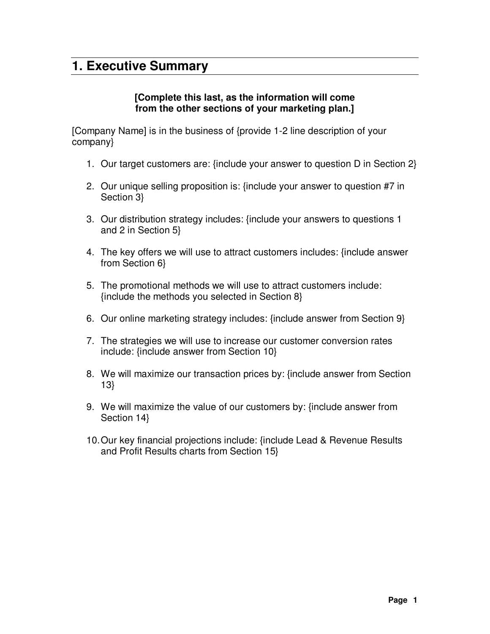#### **1. Executive Summary**

#### **[Complete this last, as the information will come from the other sections of your marketing plan.]**

[Company Name] is in the business of {provide 1-2 line description of your company}

- 1. Our target customers are: {include your answer to question D in Section 2}
- 2. Our unique selling proposition is: {include your answer to question #7 in Section 3}
- 3. Our distribution strategy includes: {include your answers to questions 1 and 2 in Section 5}
- 4. The key offers we will use to attract customers includes: {include answer from Section 6}
- 5. The promotional methods we will use to attract customers include: {include the methods you selected in Section 8}
- 6. Our online marketing strategy includes: {include answer from Section 9}
- 7. The strategies we will use to increase our customer conversion rates include: {include answer from Section 10}
- 8. We will maximize our transaction prices by: {include answer from Section 13}
- 9. We will maximize the value of our customers by: {include answer from Section 14}
- 10. Our key financial projections include: {include Lead & Revenue Results and Profit Results charts from Section 15}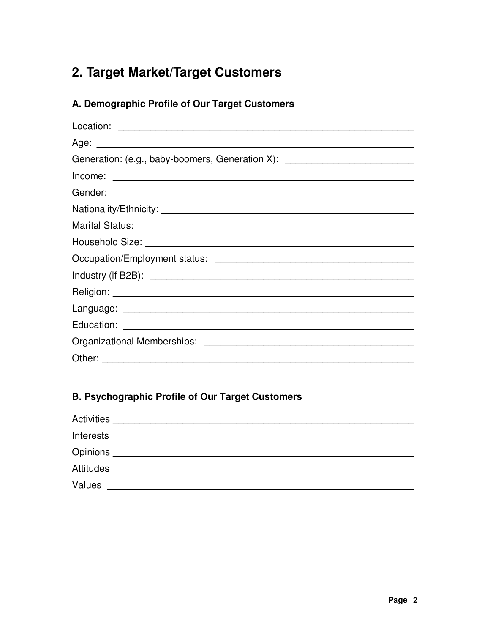#### 2. Target Market/Target Customers

#### A. Demographic Profile of Our Target Customers

| Generation: (e.g., baby-boomers, Generation X): ________________________________ |
|----------------------------------------------------------------------------------|
|                                                                                  |
|                                                                                  |
|                                                                                  |
|                                                                                  |
|                                                                                  |
|                                                                                  |
|                                                                                  |
|                                                                                  |
|                                                                                  |
|                                                                                  |
|                                                                                  |
|                                                                                  |

#### **B. Psychographic Profile of Our Target Customers**

| Activities         |  |  |  |
|--------------------|--|--|--|
| Interests          |  |  |  |
| Opinions _________ |  |  |  |
| Attitudes          |  |  |  |
| <b>Values</b>      |  |  |  |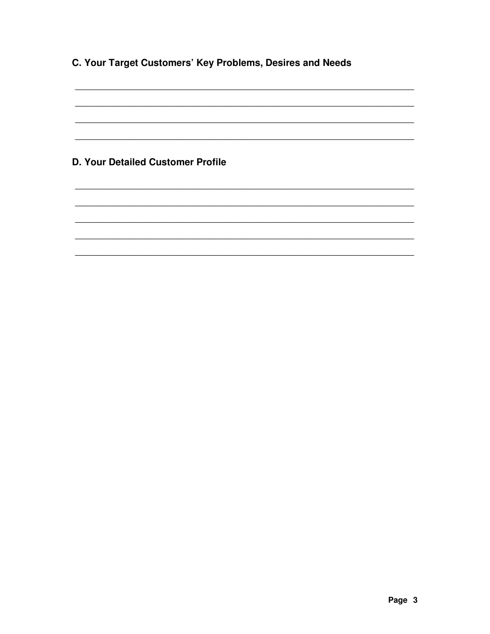C. Your Target Customers' Key Problems, Desires and Needs

**D. Your Detailed Customer Profile**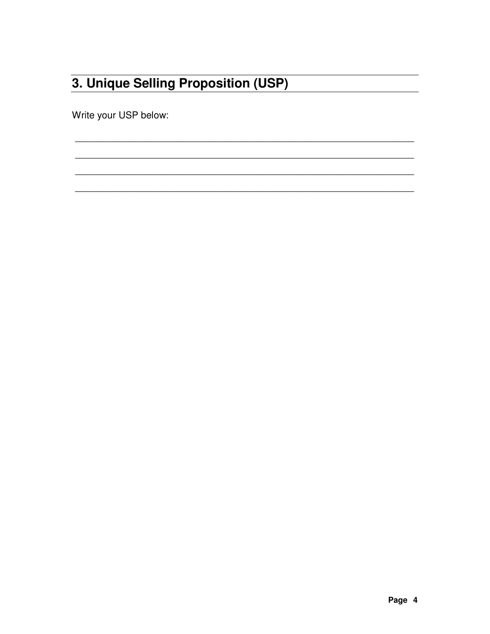## 3. Unique Selling Proposition (USP)

Write your USP below: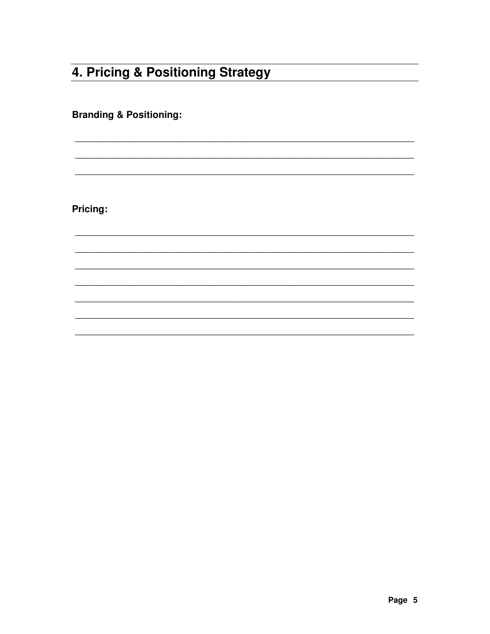#### 4. Pricing & Positioning Strategy

**Branding & Positioning:** 

Pricing: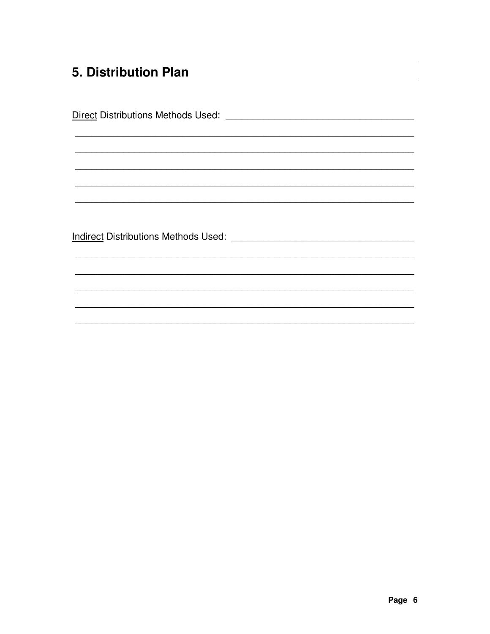#### 5. Distribution Plan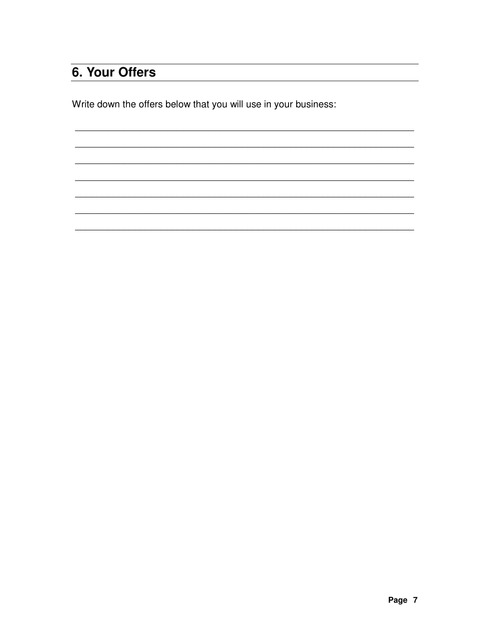### 6. Your Offers

Write down the offers below that you will use in your business:

Page 7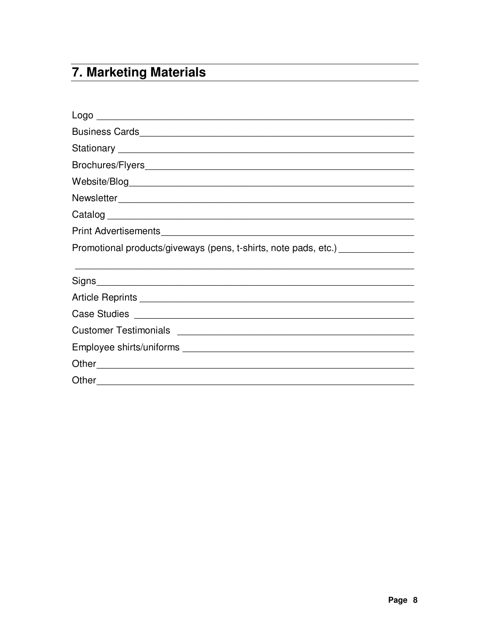## 7. Marketing Materials

| Promotional products/giveways (pens, t-shirts, note pads, etc.) ________________ |  |
|----------------------------------------------------------------------------------|--|
|                                                                                  |  |
|                                                                                  |  |
|                                                                                  |  |
|                                                                                  |  |
|                                                                                  |  |
|                                                                                  |  |
|                                                                                  |  |
| Other                                                                            |  |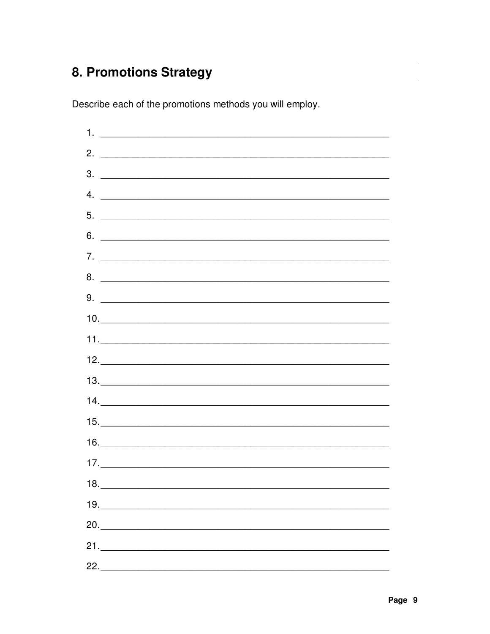#### 8. Promotions Strategy

Describe each of the promotions methods you will employ.

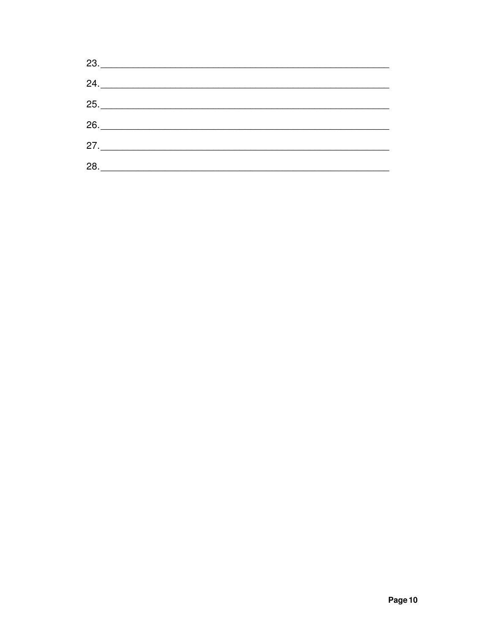|     | 23.                              |  |
|-----|----------------------------------|--|
|     | $24. \underline{\hspace{2.5cm}}$ |  |
|     | 25.                              |  |
|     |                                  |  |
|     | 27.                              |  |
| 28. |                                  |  |
|     |                                  |  |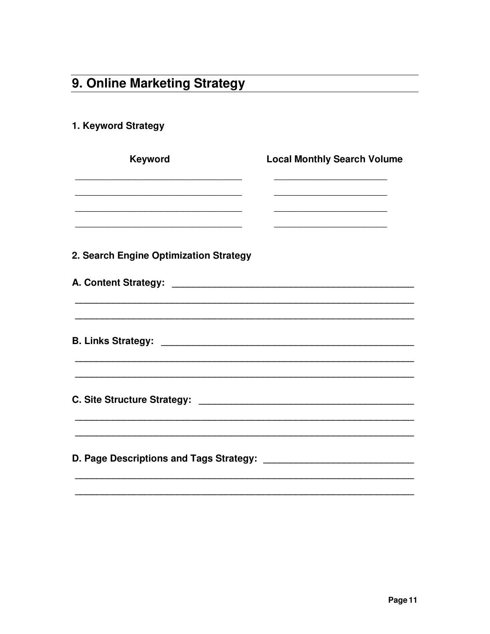## 9. Online Marketing Strategy

#### 1. Keyword Strategy

| Keyword                                | <b>Local Monthly Search Volume</b> |
|----------------------------------------|------------------------------------|
|                                        |                                    |
|                                        |                                    |
| 2. Search Engine Optimization Strategy |                                    |
|                                        |                                    |
|                                        |                                    |
|                                        |                                    |
|                                        |                                    |
|                                        |                                    |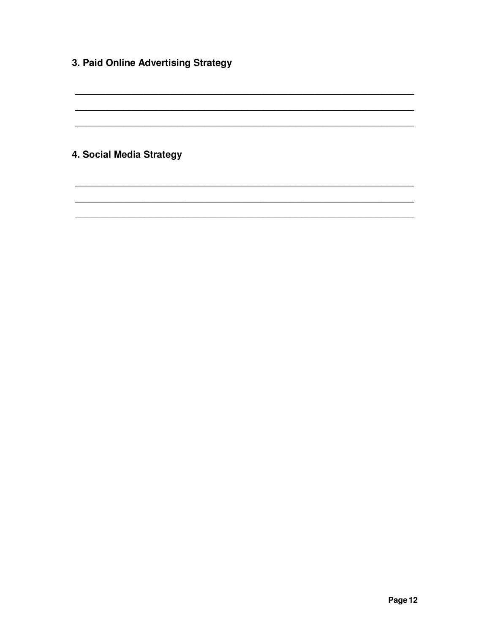3. Paid Online Advertising Strategy

4. Social Media Strategy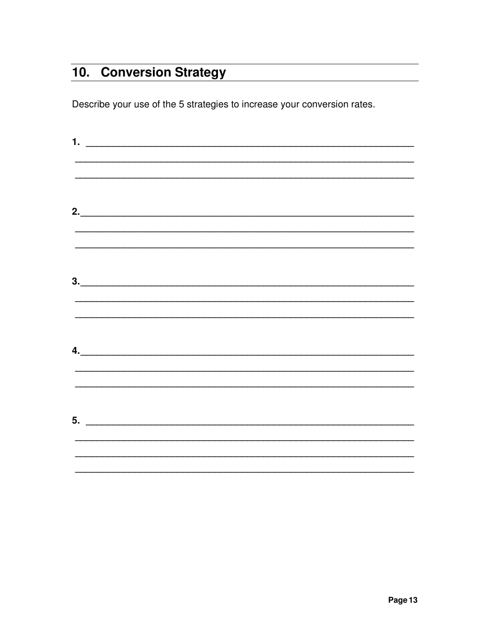## 10. Conversion Strategy

Describe your use of the 5 strategies to increase your conversion rates.

|  |  |  | $\frac{1}{2}$<br>$\begin{array}{c} \hline \text{3.} \end{array}$<br>$\overline{a}$ .<br>$\overline{\mathbf{5}}$ . $\overline{\mathbf{5}}$ |
|--|--|--|-------------------------------------------------------------------------------------------------------------------------------------------|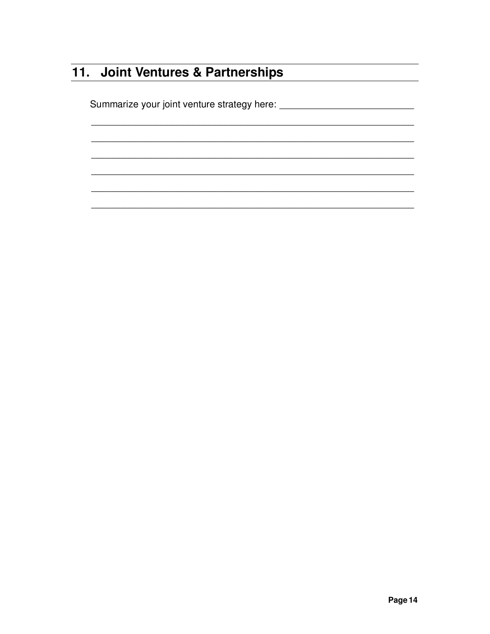#### 11. Joint Ventures & Partnerships

Page 14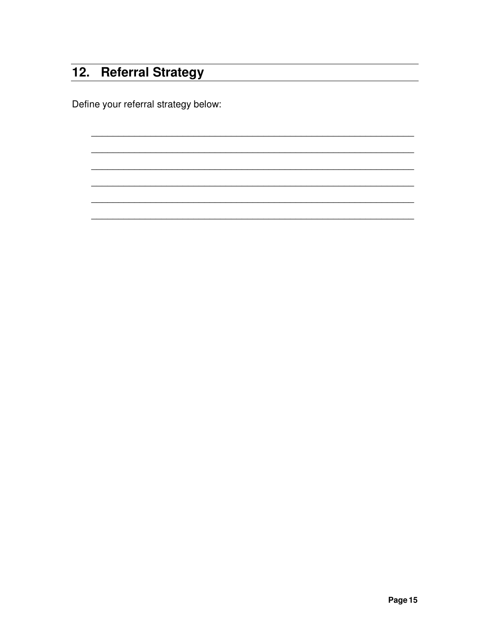## 12. Referral Strategy

Define your referral strategy below: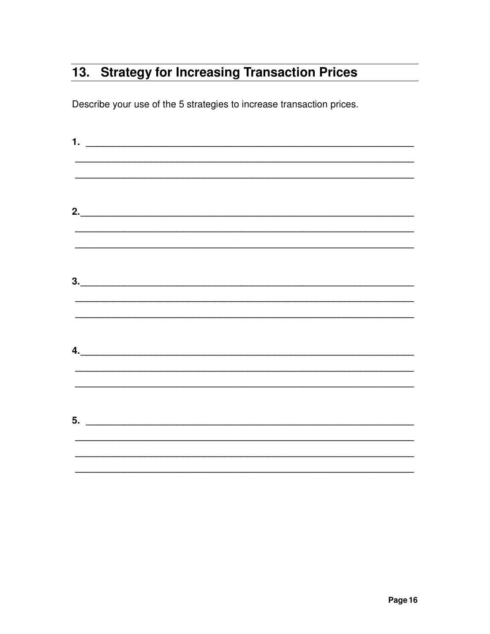#### 13. Strategy for Increasing Transaction Prices

Describe your use of the 5 strategies to increase transaction prices.

| <u>2.</u>                                         |  |  |
|---------------------------------------------------|--|--|
|                                                   |  |  |
|                                                   |  |  |
|                                                   |  |  |
|                                                   |  |  |
|                                                   |  |  |
|                                                   |  |  |
|                                                   |  |  |
| $\overline{a}$ .                                  |  |  |
|                                                   |  |  |
|                                                   |  |  |
|                                                   |  |  |
| $\overline{\mathbf{5}}$ . $\overline{\mathbf{5}}$ |  |  |
|                                                   |  |  |
|                                                   |  |  |
|                                                   |  |  |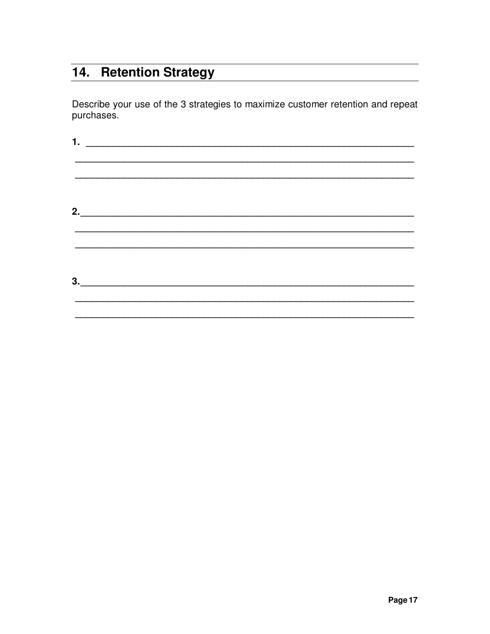#### 14. Retention Strategy

Describe your use of the 3 strategies to maximize customer retention and repeat purchases.

| $1.$ $\frac{1}{2}$ $\frac{1}{2}$ $\frac{1}{2}$ $\frac{1}{2}$ $\frac{1}{2}$ $\frac{1}{2}$ $\frac{1}{2}$ $\frac{1}{2}$ $\frac{1}{2}$ $\frac{1}{2}$ $\frac{1}{2}$ $\frac{1}{2}$ $\frac{1}{2}$ $\frac{1}{2}$ $\frac{1}{2}$ $\frac{1}{2}$ $\frac{1}{2}$ $\frac{1}{2}$ $\frac{1}{2}$ $\frac{1}{2}$ $\frac{1}{2}$ $\frac{1}{$ |                                                                                  |  |  |
|------------------------------------------------------------------------------------------------------------------------------------------------------------------------------------------------------------------------------------------------------------------------------------------------------------------------|----------------------------------------------------------------------------------|--|--|
|                                                                                                                                                                                                                                                                                                                        |                                                                                  |  |  |
|                                                                                                                                                                                                                                                                                                                        |                                                                                  |  |  |
|                                                                                                                                                                                                                                                                                                                        |                                                                                  |  |  |
|                                                                                                                                                                                                                                                                                                                        |                                                                                  |  |  |
| 2.                                                                                                                                                                                                                                                                                                                     |                                                                                  |  |  |
|                                                                                                                                                                                                                                                                                                                        |                                                                                  |  |  |
|                                                                                                                                                                                                                                                                                                                        | ,我们也不能在这里的时候,我们也不能在这里的时候,我们也不能会在这里的时候,我们也不能会在这里的时候,我们也不能会在这里的时候,我们也不能会在这里的时候,我们也 |  |  |
|                                                                                                                                                                                                                                                                                                                        |                                                                                  |  |  |
| 3.                                                                                                                                                                                                                                                                                                                     |                                                                                  |  |  |
|                                                                                                                                                                                                                                                                                                                        |                                                                                  |  |  |
|                                                                                                                                                                                                                                                                                                                        |                                                                                  |  |  |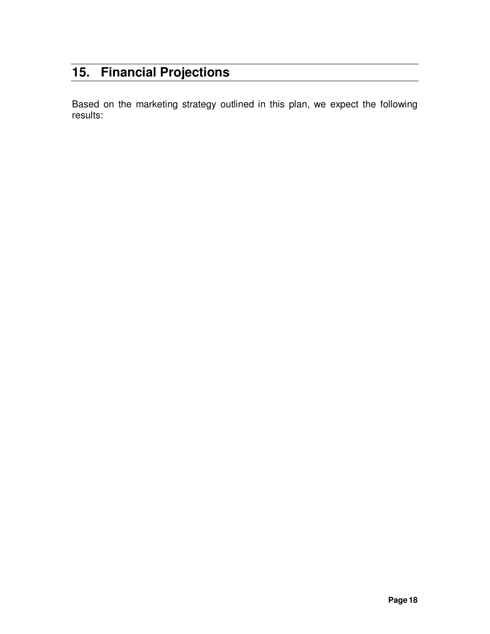#### **15. Financial Projections**

Based on the marketing strategy outlined in this plan, we expect the following results: